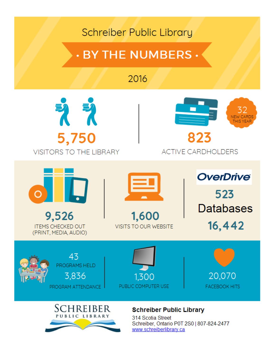## **Schreiber Public Library**

# . BY THE NUMBERS .

## 2016





### **ACTIVE CARDHOLDERS**

 $\Omega$ 9,526

**ITEMS CHECKED OUT** (PRINT, MEDIA, AUDIO) 1,600

**VISITS TO OUR WEBSITE** 

**OverDrive** 523 **Databases** 16,442

43 PROGRAMS HELD 3,836 PROGRAM ATTENDANCE







### **Schreiber Public Library**

314 Scotia Street Schreiber, Ontario P0T 2S0 | 807-824-2477 www.schreiberlibrary.ca